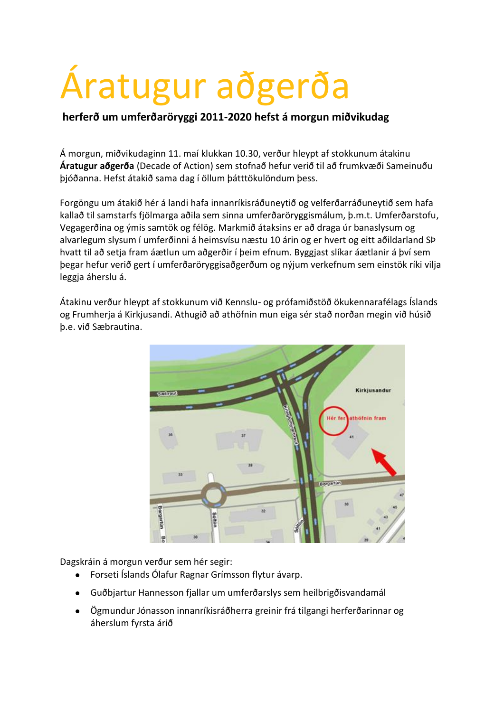## Áratugur aðgerða

## **herferð um umferðaröryggi 2011-2020 hefst á morgun miðvikudag**

Á morgun, miðvikudaginn 11. maí klukkan 10.30, verður hleypt af stokkunum átakinu **Áratugur aðgerða** (Decade of Action) sem stofnað hefur verið til að frumkvæði Sameinuðu þjóðanna. Hefst átakið sama dag í öllum þátttökulöndum þess.

Forgöngu um átakið hér á landi hafa innanríkisráðuneytið og velferðarráðuneytið sem hafa kallað til samstarfs fjölmarga aðila sem sinna umferðaröryggismálum, þ.m.t. Umferðarstofu, Vegagerðina og ýmis samtök og félög. Markmið átaksins er að draga úr banaslysum og alvarlegum slysum í umferðinni á heimsvísu næstu 10 árin og er hvert og eitt aðildarland SÞ hvatt til að setja fram áætlun um aðgerðir í þeim efnum. Byggjast slíkar áætlanir á því sem þegar hefur verið gert í umferðaröryggisaðgerðum og nýjum verkefnum sem einstök ríki vilja leggja áherslu á.

Átakinu verður hleypt af stokkunum við Kennslu- og prófamiðstöð ökukennarafélags Íslands og Frumherja á Kirkjusandi. Athugið að athöfnin mun eiga sér stað norðan megin við húsið þ.e. við Sæbrautina.



Dagskráin á morgun verður sem hér segir:

- Forseti Íslands Ólafur Ragnar Grímsson flytur ávarp.
- Guðbjartur Hannesson fjallar um umferðarslys sem heilbrigðisvandamál
- Ögmundur Jónasson innanríkisráðherra greinir frá tilgangi herferðarinnar og áherslum fyrsta árið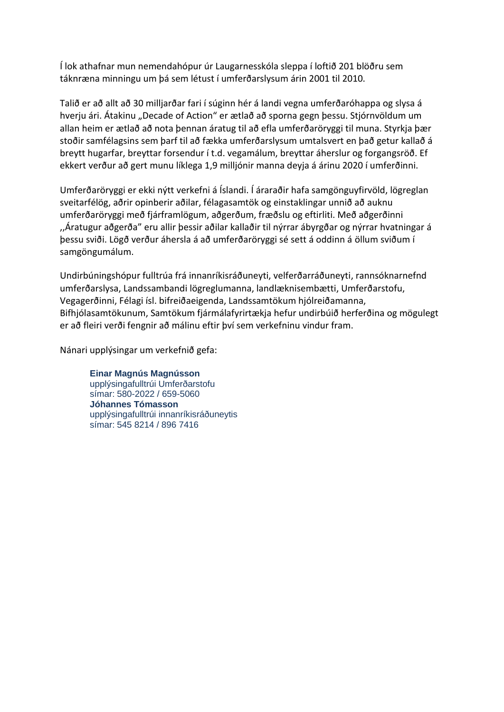Í lok athafnar mun nemendahópur úr Laugarnesskóla sleppa í loftið 201 blöðru sem táknræna minningu um þá sem létust í umferðarslysum árin 2001 til 2010.

Talið er að allt að 30 milljarðar fari í súginn hér á landi vegna umferðaróhappa og slysa á hverju ári. Átakinu "Decade of Action" er ætlað að sporna gegn þessu. Stjórnvöldum um allan heim er ætlað að nota þennan áratug til að efla umferðaröryggi til muna. Styrkja þær stoðir samfélagsins sem þarf til að fækka umferðarslysum umtalsvert en það getur kallað á breytt hugarfar, breyttar forsendur í t.d. vegamálum, breyttar áherslur og forgangsröð. Ef ekkert verður að gert munu líklega 1,9 milljónir manna deyja á árinu 2020 í umferðinni.

Umferðaröryggi er ekki nýtt verkefni á Íslandi. Í áraraðir hafa samgönguyfirvöld, lögreglan sveitarfélög, aðrir opinberir aðilar, félagasamtök og einstaklingar unnið að auknu umferðaröryggi með fjárframlögum, aðgerðum, fræðslu og eftirliti. Með aðgerðinni ,,Áratugur aðgerða" eru allir þessir aðilar kallaðir til nýrrar ábyrgðar og nýrrar hvatningar á þessu sviði. Lögð verður áhersla á að umferðaröryggi sé sett á oddinn á öllum sviðum í samgöngumálum.

Undirbúningshópur fulltrúa frá innanríkisráðuneyti, velferðarráðuneyti, rannsóknarnefnd umferðarslysa, Landssambandi lögreglumanna, landlæknisembætti, Umferðarstofu, Vegagerðinni, Félagi ísl. bifreiðaeigenda, Landssamtökum hjólreiðamanna, Bifhjólasamtökunum, Samtökum fjármálafyrirtækja hefur undirbúið herferðina og mögulegt er að fleiri verði fengnir að málinu eftir því sem verkefninu vindur fram.

Nánari upplýsingar um verkefnið gefa:

**Einar Magnús Magnússon** upplýsingafulltrúi Umferðarstofu símar: 580-2022 / 659-5060 **Jóhannes Tómasson** upplýsingafulltrúi innanríkisráðuneytis símar: 545 8214 / 896 7416